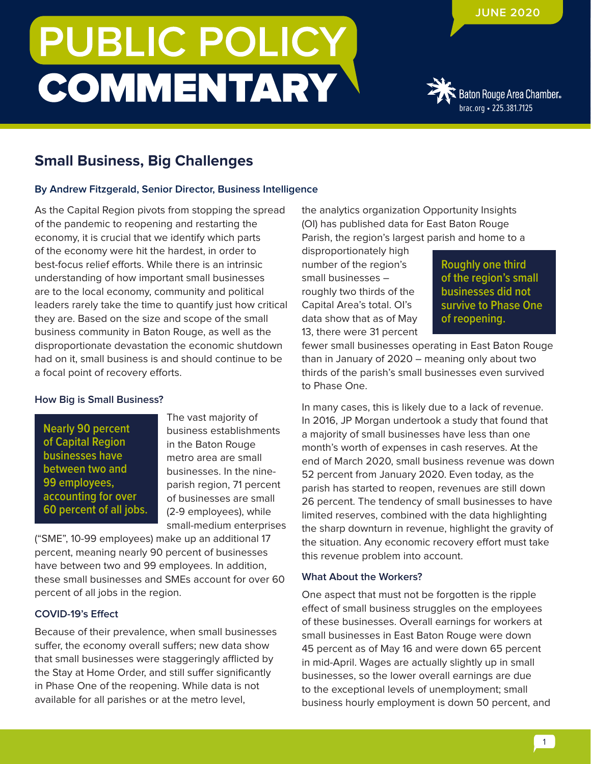# **PUBLIC POLICY COMMENTARY**

### **JUNE 2020**



## **Small Business, Big Challenges**

#### **By Andrew Fitzgerald, Senior Director, Business Intelligence**

As the Capital Region pivots from stopping the spread of the pandemic to reopening and restarting the economy, it is crucial that we identify which parts of the economy were hit the hardest, in order to best-focus relief efforts. While there is an intrinsic understanding of how important small businesses are to the local economy, community and political leaders rarely take the time to quantify just how critical they are. Based on the size and scope of the small business community in Baton Rouge, as well as the disproportionate devastation the economic shutdown had on it, small business is and should continue to be a focal point of recovery efforts.

#### **How Big is Small Business?**

**Nearly 90 percent of Capital Region businesses have between two and 99 employees, accounting for over 60 percent of all jobs.** The vast majority of business establishments in the Baton Rouge metro area are small businesses. In the nineparish region, 71 percent of businesses are small (2-9 employees), while small-medium enterprises

("SME", 10-99 employees) make up an additional 17 percent, meaning nearly 90 percent of businesses have between two and 99 employees. In addition, these small businesses and SMEs account for over 60 percent of all jobs in the region.

#### **COVID-19's Effect**

Because of their prevalence, when small businesses suffer, the economy overall suffers; new data show that small businesses were staggeringly afflicted by the Stay at Home Order, and still suffer significantly in Phase One of the reopening. While data is not available for all parishes or at the metro level,

the analytics organization Opportunity Insights (OI) has published data for East Baton Rouge Parish, the region's largest parish and home to a

disproportionately high number of the region's small businesses – roughly two thirds of the Capital Area's total. OI's data show that as of May 13, there were 31 percent

**Roughly one third of the region's small businesses did not survive to Phase One of reopening.**

fewer small businesses operating in East Baton Rouge than in January of 2020 – meaning only about two thirds of the parish's small businesses even survived to Phase One.

In many cases, this is likely due to a lack of revenue. In 2016, JP Morgan undertook a study that found that a majority of small businesses have less than one month's worth of expenses in cash reserves. At the end of March 2020, small business revenue was down 52 percent from January 2020. Even today, as the parish has started to reopen, revenues are still down 26 percent. The tendency of small businesses to have limited reserves, combined with the data highlighting the sharp downturn in revenue, highlight the gravity of the situation. Any economic recovery effort must take this revenue problem into account.

#### **What About the Workers?**

One aspect that must not be forgotten is the ripple effect of small business struggles on the employees of these businesses. Overall earnings for workers at small businesses in East Baton Rouge were down 45 percent as of May 16 and were down 65 percent in mid-April. Wages are actually slightly up in small businesses, so the lower overall earnings are due to the exceptional levels of unemployment; small business hourly employment is down 50 percent, and